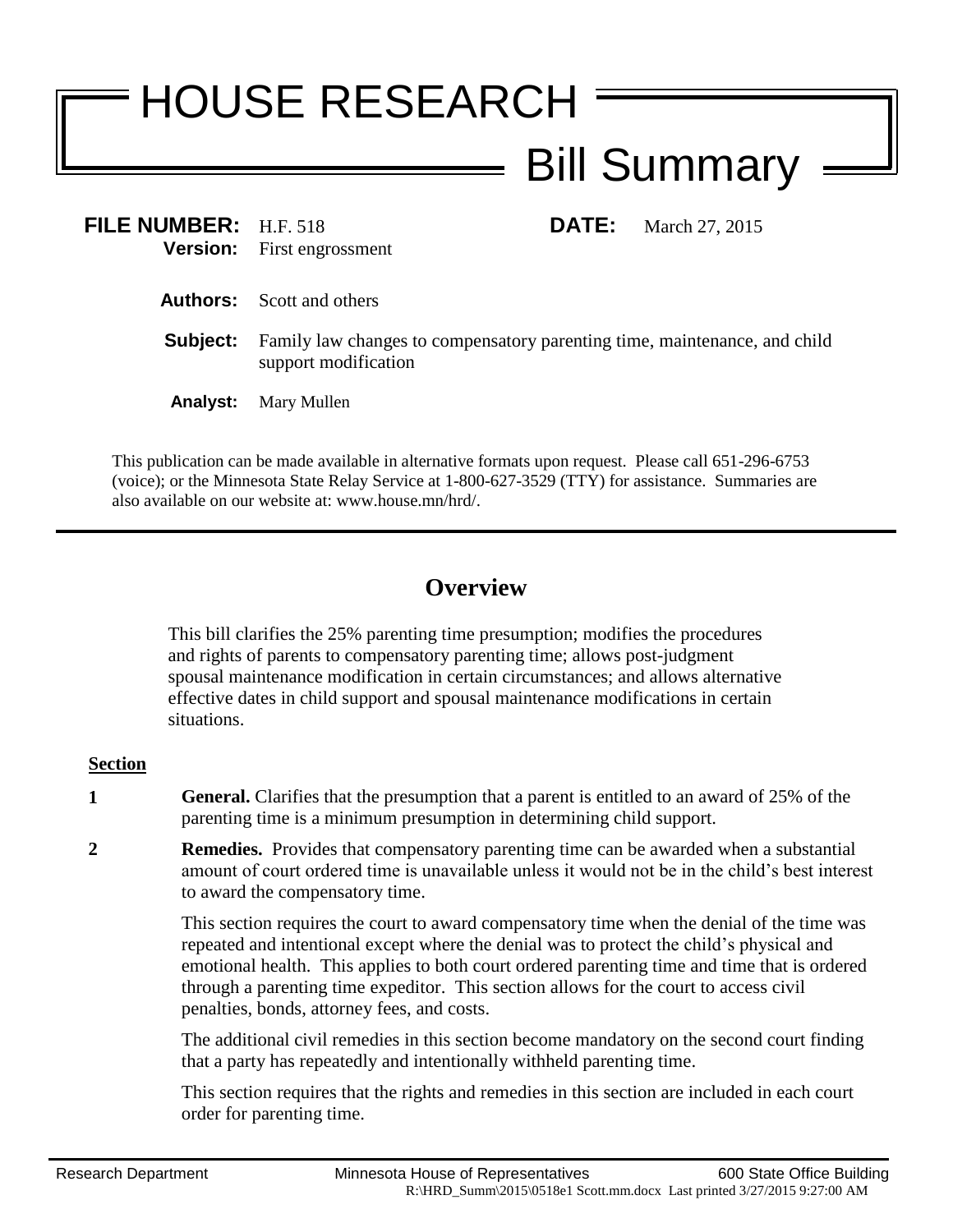## HOUSE RESEARCH Bill Summary

**FILE NUMBER:** H.F. 518 **DATE:** March 27, 2015 **Version:** First engrossment First engrossment

- **Authors:** Scott and others
- **Subject:** Family law changes to compensatory parenting time, maintenance, and child support modification
- **Analyst:** Mary Mullen

This publication can be made available in alternative formats upon request. Please call 651-296-6753 (voice); or the Minnesota State Relay Service at 1-800-627-3529 (TTY) for assistance. Summaries are also available on our website at: www.house.mn/hrd/.

## **Overview**

This bill clarifies the 25% parenting time presumption; modifies the procedures and rights of parents to compensatory parenting time; allows post-judgment spousal maintenance modification in certain circumstances; and allows alternative effective dates in child support and spousal maintenance modifications in certain situations.

## **Section**

- **1 General.** Clarifies that the presumption that a parent is entitled to an award of 25% of the parenting time is a minimum presumption in determining child support.
- **2 Remedies.** Provides that compensatory parenting time can be awarded when a substantial amount of court ordered time is unavailable unless it would not be in the child's best interest to award the compensatory time.

This section requires the court to award compensatory time when the denial of the time was repeated and intentional except where the denial was to protect the child's physical and emotional health. This applies to both court ordered parenting time and time that is ordered through a parenting time expeditor. This section allows for the court to access civil penalties, bonds, attorney fees, and costs.

The additional civil remedies in this section become mandatory on the second court finding that a party has repeatedly and intentionally withheld parenting time.

This section requires that the rights and remedies in this section are included in each court order for parenting time.